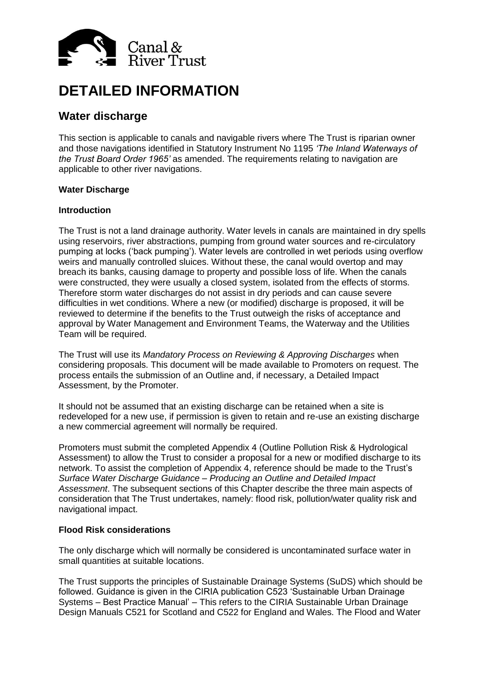

# **DETAILED INFORMATION**

# **Water discharge**

This section is applicable to canals and navigable rivers where The Trust is riparian owner and those navigations identified in Statutory Instrument No 1195 *'The Inland Waterways of the Trust Board Order 1965'* as amended. The requirements relating to navigation are applicable to other river navigations.

# **Water Discharge**

#### **Introduction**

The Trust is not a land drainage authority. Water levels in canals are maintained in dry spells using reservoirs, river abstractions, pumping from ground water sources and re-circulatory pumping at locks ('back pumping'). Water levels are controlled in wet periods using overflow weirs and manually controlled sluices. Without these, the canal would overtop and may breach its banks, causing damage to property and possible loss of life. When the canals were constructed, they were usually a closed system, isolated from the effects of storms. Therefore storm water discharges do not assist in dry periods and can cause severe difficulties in wet conditions. Where a new (or modified) discharge is proposed, it will be reviewed to determine if the benefits to the Trust outweigh the risks of acceptance and approval by Water Management and Environment Teams, the Waterway and the Utilities Team will be required.

The Trust will use its *Mandatory Process on Reviewing & Approving Discharges* when considering proposals. This document will be made available to Promoters on request. The process entails the submission of an Outline and, if necessary, a Detailed Impact Assessment, by the Promoter.

It should not be assumed that an existing discharge can be retained when a site is redeveloped for a new use, if permission is given to retain and re-use an existing discharge a new commercial agreement will normally be required.

Promoters must submit the completed Appendix 4 (Outline Pollution Risk & Hydrological Assessment) to allow the Trust to consider a proposal for a new or modified discharge to its network. To assist the completion of Appendix 4, reference should be made to the Trust's *Surface Water Discharge Guidance – Producing an Outline and Detailed Impact Assessment*. The subsequent sections of this Chapter describe the three main aspects of consideration that The Trust undertakes, namely: flood risk, pollution/water quality risk and navigational impact.

# **Flood Risk considerations**

The only discharge which will normally be considered is uncontaminated surface water in small quantities at suitable locations.

The Trust supports the principles of Sustainable Drainage Systems (SuDS) which should be followed. Guidance is given in the CIRIA publication C523 'Sustainable Urban Drainage Systems – Best Practice Manual' – This refers to the CIRIA Sustainable Urban Drainage Design Manuals C521 for Scotland and C522 for England and Wales. The Flood and Water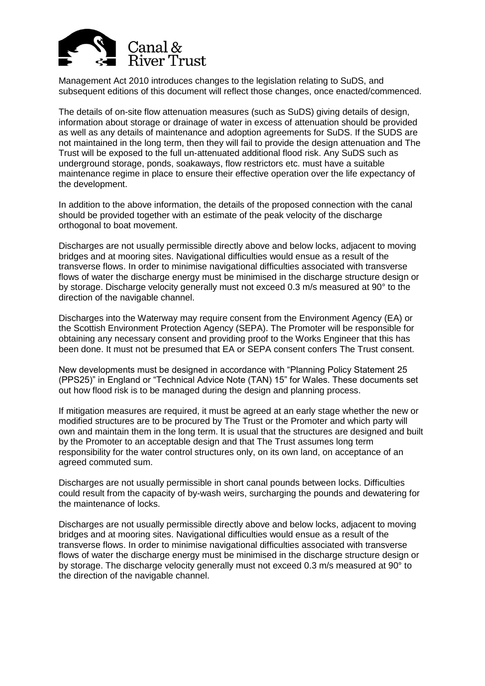

Management Act 2010 introduces changes to the legislation relating to SuDS, and subsequent editions of this document will reflect those changes, once enacted/commenced.

The details of on-site flow attenuation measures (such as SuDS) giving details of design, information about storage or drainage of water in excess of attenuation should be provided as well as any details of maintenance and adoption agreements for SuDS. If the SUDS are not maintained in the long term, then they will fail to provide the design attenuation and The Trust will be exposed to the full un-attenuated additional flood risk. Any SuDS such as underground storage, ponds, soakaways, flow restrictors etc. must have a suitable maintenance regime in place to ensure their effective operation over the life expectancy of the development.

In addition to the above information, the details of the proposed connection with the canal should be provided together with an estimate of the peak velocity of the discharge orthogonal to boat movement.

Discharges are not usually permissible directly above and below locks, adjacent to moving bridges and at mooring sites. Navigational difficulties would ensue as a result of the transverse flows. In order to minimise navigational difficulties associated with transverse flows of water the discharge energy must be minimised in the discharge structure design or by storage. Discharge velocity generally must not exceed 0.3 m/s measured at 90° to the direction of the navigable channel.

Discharges into the Waterway may require consent from the Environment Agency (EA) or the Scottish Environment Protection Agency (SEPA). The Promoter will be responsible for obtaining any necessary consent and providing proof to the Works Engineer that this has been done. It must not be presumed that EA or SEPA consent confers The Trust consent.

New developments must be designed in accordance with "Planning Policy Statement 25 (PPS25)" in England or "Technical Advice Note (TAN) 15" for Wales. These documents set out how flood risk is to be managed during the design and planning process.

If mitigation measures are required, it must be agreed at an early stage whether the new or modified structures are to be procured by The Trust or the Promoter and which party will own and maintain them in the long term. It is usual that the structures are designed and built by the Promoter to an acceptable design and that The Trust assumes long term responsibility for the water control structures only, on its own land, on acceptance of an agreed commuted sum.

Discharges are not usually permissible in short canal pounds between locks. Difficulties could result from the capacity of by-wash weirs, surcharging the pounds and dewatering for the maintenance of locks.

Discharges are not usually permissible directly above and below locks, adjacent to moving bridges and at mooring sites. Navigational difficulties would ensue as a result of the transverse flows. In order to minimise navigational difficulties associated with transverse flows of water the discharge energy must be minimised in the discharge structure design or by storage. The discharge velocity generally must not exceed 0.3 m/s measured at 90° to the direction of the navigable channel.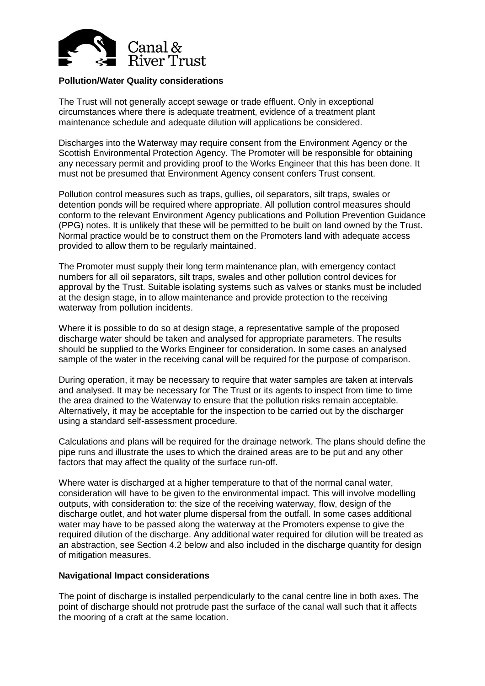

### **Pollution/Water Quality considerations**

The Trust will not generally accept sewage or trade effluent. Only in exceptional circumstances where there is adequate treatment, evidence of a treatment plant maintenance schedule and adequate dilution will applications be considered.

Discharges into the Waterway may require consent from the Environment Agency or the Scottish Environmental Protection Agency. The Promoter will be responsible for obtaining any necessary permit and providing proof to the Works Engineer that this has been done. It must not be presumed that Environment Agency consent confers Trust consent.

Pollution control measures such as traps, gullies, oil separators, silt traps, swales or detention ponds will be required where appropriate. All pollution control measures should conform to the relevant Environment Agency publications and Pollution Prevention Guidance (PPG) notes. It is unlikely that these will be permitted to be built on land owned by the Trust. Normal practice would be to construct them on the Promoters land with adequate access provided to allow them to be regularly maintained.

The Promoter must supply their long term maintenance plan, with emergency contact numbers for all oil separators, silt traps, swales and other pollution control devices for approval by the Trust. Suitable isolating systems such as valves or stanks must be included at the design stage, in to allow maintenance and provide protection to the receiving waterway from pollution incidents.

Where it is possible to do so at design stage, a representative sample of the proposed discharge water should be taken and analysed for appropriate parameters. The results should be supplied to the Works Engineer for consideration. In some cases an analysed sample of the water in the receiving canal will be required for the purpose of comparison.

During operation, it may be necessary to require that water samples are taken at intervals and analysed. It may be necessary for The Trust or its agents to inspect from time to time the area drained to the Waterway to ensure that the pollution risks remain acceptable. Alternatively, it may be acceptable for the inspection to be carried out by the discharger using a standard self-assessment procedure.

Calculations and plans will be required for the drainage network. The plans should define the pipe runs and illustrate the uses to which the drained areas are to be put and any other factors that may affect the quality of the surface run-off.

Where water is discharged at a higher temperature to that of the normal canal water, consideration will have to be given to the environmental impact. This will involve modelling outputs, with consideration to: the size of the receiving waterway, flow, design of the discharge outlet, and hot water plume dispersal from the outfall. In some cases additional water may have to be passed along the waterway at the Promoters expense to give the required dilution of the discharge. Any additional water required for dilution will be treated as an abstraction, see Section 4.2 below and also included in the discharge quantity for design of mitigation measures.

#### **Navigational Impact considerations**

The point of discharge is installed perpendicularly to the canal centre line in both axes. The point of discharge should not protrude past the surface of the canal wall such that it affects the mooring of a craft at the same location.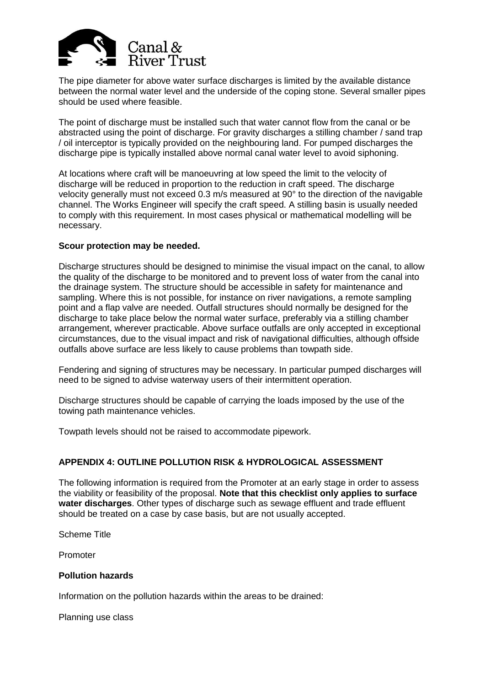

The pipe diameter for above water surface discharges is limited by the available distance between the normal water level and the underside of the coping stone. Several smaller pipes should be used where feasible.

The point of discharge must be installed such that water cannot flow from the canal or be abstracted using the point of discharge. For gravity discharges a stilling chamber / sand trap / oil interceptor is typically provided on the neighbouring land. For pumped discharges the discharge pipe is typically installed above normal canal water level to avoid siphoning.

At locations where craft will be manoeuvring at low speed the limit to the velocity of discharge will be reduced in proportion to the reduction in craft speed. The discharge velocity generally must not exceed 0.3 m/s measured at 90° to the direction of the navigable channel. The Works Engineer will specify the craft speed. A stilling basin is usually needed to comply with this requirement. In most cases physical or mathematical modelling will be necessary.

#### **Scour protection may be needed.**

Discharge structures should be designed to minimise the visual impact on the canal, to allow the quality of the discharge to be monitored and to prevent loss of water from the canal into the drainage system. The structure should be accessible in safety for maintenance and sampling. Where this is not possible, for instance on river navigations, a remote sampling point and a flap valve are needed. Outfall structures should normally be designed for the discharge to take place below the normal water surface, preferably via a stilling chamber arrangement, wherever practicable. Above surface outfalls are only accepted in exceptional circumstances, due to the visual impact and risk of navigational difficulties, although offside outfalls above surface are less likely to cause problems than towpath side.

Fendering and signing of structures may be necessary. In particular pumped discharges will need to be signed to advise waterway users of their intermittent operation.

Discharge structures should be capable of carrying the loads imposed by the use of the towing path maintenance vehicles.

Towpath levels should not be raised to accommodate pipework.

# **APPENDIX 4: OUTLINE POLLUTION RISK & HYDROLOGICAL ASSESSMENT**

The following information is required from the Promoter at an early stage in order to assess the viability or feasibility of the proposal. **Note that this checklist only applies to surface water discharges**. Other types of discharge such as sewage effluent and trade effluent should be treated on a case by case basis, but are not usually accepted.

Scheme Title

Promoter

#### **Pollution hazards**

Information on the pollution hazards within the areas to be drained:

Planning use class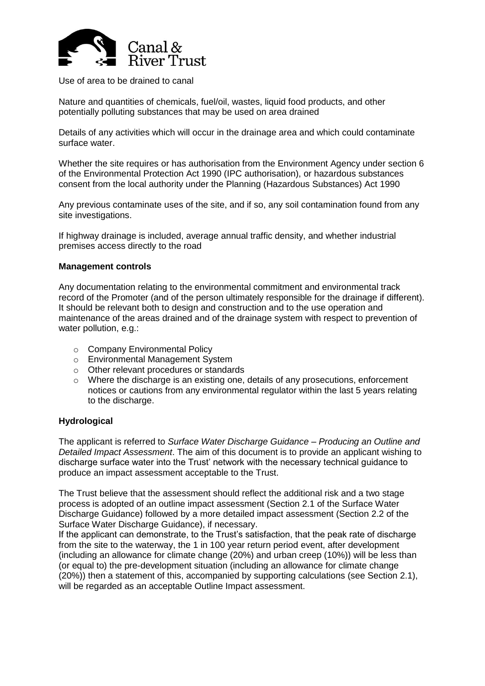

Use of area to be drained to canal

Nature and quantities of chemicals, fuel/oil, wastes, liquid food products, and other potentially polluting substances that may be used on area drained

Details of any activities which will occur in the drainage area and which could contaminate surface water.

Whether the site requires or has authorisation from the Environment Agency under section 6 of the Environmental Protection Act 1990 (IPC authorisation), or hazardous substances consent from the local authority under the Planning (Hazardous Substances) Act 1990

Any previous contaminate uses of the site, and if so, any soil contamination found from any site investigations.

If highway drainage is included, average annual traffic density, and whether industrial premises access directly to the road

#### **Management controls**

Any documentation relating to the environmental commitment and environmental track record of the Promoter (and of the person ultimately responsible for the drainage if different). It should be relevant both to design and construction and to the use operation and maintenance of the areas drained and of the drainage system with respect to prevention of water pollution, e.g.:

- o Company Environmental Policy
- o Environmental Management System
- o Other relevant procedures or standards
- o Where the discharge is an existing one, details of any prosecutions, enforcement notices or cautions from any environmental regulator within the last 5 years relating to the discharge.

#### **Hydrological**

The applicant is referred to *Surface Water Discharge Guidance – Producing an Outline and Detailed Impact Assessment*. The aim of this document is to provide an applicant wishing to discharge surface water into the Trust' network with the necessary technical guidance to produce an impact assessment acceptable to the Trust.

The Trust believe that the assessment should reflect the additional risk and a two stage process is adopted of an outline impact assessment (Section 2.1 of the Surface Water Discharge Guidance) followed by a more detailed impact assessment (Section 2.2 of the Surface Water Discharge Guidance), if necessary.

If the applicant can demonstrate, to the Trust's satisfaction, that the peak rate of discharge from the site to the waterway, the 1 in 100 year return period event, after development (including an allowance for climate change (20%) and urban creep (10%)) will be less than (or equal to) the pre-development situation (including an allowance for climate change (20%)) then a statement of this, accompanied by supporting calculations (see Section 2.1), will be regarded as an acceptable Outline Impact assessment.